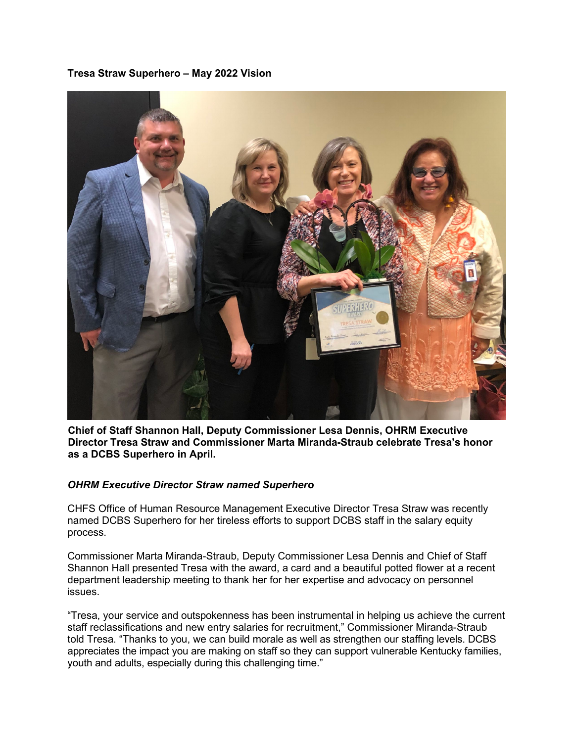## **Tresa Straw Superhero – May 2022 Vision**



**Chief of Staff Shannon Hall, Deputy Commissioner Lesa Dennis, OHRM Executive Director Tresa Straw and Commissioner Marta Miranda-Straub celebrate Tresa's honor as a DCBS Superhero in April.** 

## *OHRM Executive Director Straw named Superhero*

CHFS Office of Human Resource Management Executive Director Tresa Straw was recently named DCBS Superhero for her tireless efforts to support DCBS staff in the salary equity process.

Commissioner Marta Miranda-Straub, Deputy Commissioner Lesa Dennis and Chief of Staff Shannon Hall presented Tresa with the award, a card and a beautiful potted flower at a recent department leadership meeting to thank her for her expertise and advocacy on personnel issues.

"Tresa, your service and outspokenness has been instrumental in helping us achieve the current staff reclassifications and new entry salaries for recruitment," Commissioner Miranda-Straub told Tresa. "Thanks to you, we can build morale as well as strengthen our staffing levels. DCBS appreciates the impact you are making on staff so they can support vulnerable Kentucky families, youth and adults, especially during this challenging time."